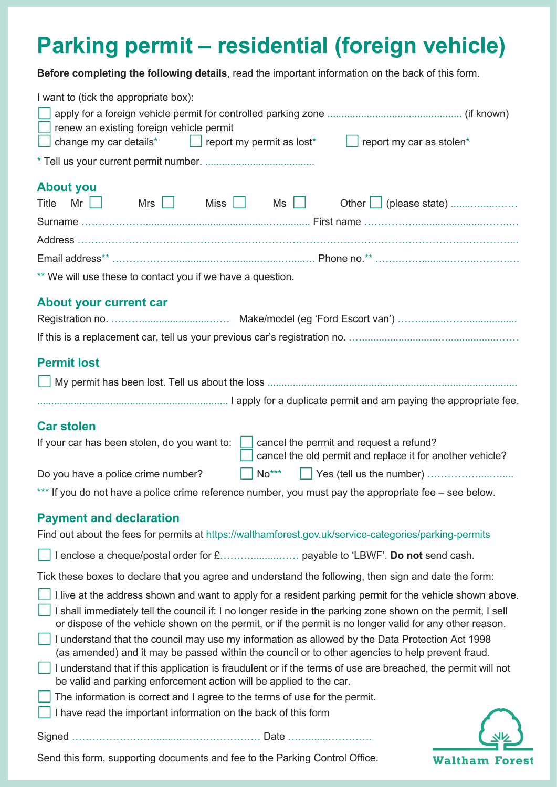# **Parking permit – residential (foreign vehicle)**

**Before completing the following details**, read the important information on the back of this form.

| I want to (tick the appropriate box):                                                                                                                                                                                                                                                                                               |
|-------------------------------------------------------------------------------------------------------------------------------------------------------------------------------------------------------------------------------------------------------------------------------------------------------------------------------------|
|                                                                                                                                                                                                                                                                                                                                     |
| renew an existing foreign vehicle permit<br>$\vert$ report my permit as lost*<br>report my car as stolen*                                                                                                                                                                                                                           |
| change my car details*                                                                                                                                                                                                                                                                                                              |
|                                                                                                                                                                                                                                                                                                                                     |
| <b>About you</b>                                                                                                                                                                                                                                                                                                                    |
| Mr $\vert \vert$<br>Mrs<br>Miss Ms Ns Ns<br>Title<br>Other   (please state)<br>. .                                                                                                                                                                                                                                                  |
|                                                                                                                                                                                                                                                                                                                                     |
|                                                                                                                                                                                                                                                                                                                                     |
|                                                                                                                                                                                                                                                                                                                                     |
| ** We will use these to contact you if we have a question.                                                                                                                                                                                                                                                                          |
| <b>About your current car</b>                                                                                                                                                                                                                                                                                                       |
|                                                                                                                                                                                                                                                                                                                                     |
|                                                                                                                                                                                                                                                                                                                                     |
|                                                                                                                                                                                                                                                                                                                                     |
| <b>Permit lost</b>                                                                                                                                                                                                                                                                                                                  |
|                                                                                                                                                                                                                                                                                                                                     |
|                                                                                                                                                                                                                                                                                                                                     |
| <b>Car stolen</b>                                                                                                                                                                                                                                                                                                                   |
| If your car has been stolen, do you want to:<br>cancel the permit and request a refund?<br>cancel the old permit and replace it for another vehicle?                                                                                                                                                                                |
| $No^{***}$<br>Do you have a police crime number?                                                                                                                                                                                                                                                                                    |
| *** If you do not have a police crime reference number, you must pay the appropriate fee – see below.                                                                                                                                                                                                                               |
| <b>Payment and declaration</b>                                                                                                                                                                                                                                                                                                      |
| Find out about the fees for permits at https://walthamforest.gov.uk/service-categories/parking-permits                                                                                                                                                                                                                              |
|                                                                                                                                                                                                                                                                                                                                     |
|                                                                                                                                                                                                                                                                                                                                     |
| Tick these boxes to declare that you agree and understand the following, then sign and date the form:                                                                                                                                                                                                                               |
| I live at the address shown and want to apply for a resident parking permit for the vehicle shown above.<br>I shall immediately tell the council if: I no longer reside in the parking zone shown on the permit, I sell<br>or dispose of the vehicle shown on the permit, or if the permit is no longer valid for any other reason. |
| I understand that the council may use my information as allowed by the Data Protection Act 1998<br>(as amended) and it may be passed within the council or to other agencies to help prevent fraud.                                                                                                                                 |
| I understand that if this application is fraudulent or if the terms of use are breached, the permit will not<br>be valid and parking enforcement action will be applied to the car.                                                                                                                                                 |
| The information is correct and I agree to the terms of use for the permit.                                                                                                                                                                                                                                                          |
| I have read the important information on the back of this form                                                                                                                                                                                                                                                                      |
|                                                                                                                                                                                                                                                                                                                                     |

**Waltham Forest** 

Send this form, supporting documents and fee to the Parking Control Office.